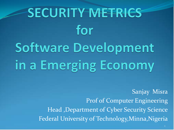# SECURITY METRICS for Software Development in a Emerging Economy

Sanjay Misra Prof of Computer Engineering Head ,Department of Cyber Security Science Federal University of Technology,Minna,Nigeria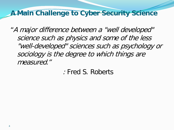#### **A Main Challenge to Cyber Security Science**

"A major difference between a "well developed" science such as physics and some of the less "well-developed" sciences such as psychology or sociology is the degree to which things are measured."

: Fred S. Roberts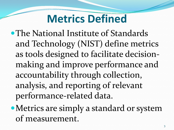#### **Metrics Defined**

- The National Institute of Standards and Technology (NIST) define metrics as tools designed to facilitate decisionmaking and improve performance and accountability through collection, analysis, and reporting of relevant performance-related data.
- Metrics are simply a standard or system of measurement.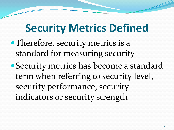#### **Security Metrics Defined**

- Therefore, security metrics is a standard for measuring security
- Security metrics has become a standard term when referring to security level, security performance, security indicators or security strength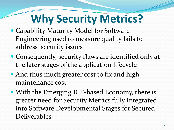### **Why Security Metrics?**

- Capability Maturity Model for Software Engineering used to measure quality fails to address security issues
- Consequently, security flaws are identified only at the later stages of the application lifecycle
- And thus much greater cost to fix and high maintenance cost
- With the Emerging ICT-based Economy, there is greater need for Security Metrics fully Integrated into Software Developmental Stages for Secured Deliverables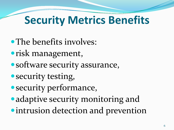### **Security Metrics Benefits**

- The benefits involves:
- risk management,
- software security assurance,
- security testing,
- security performance,
- adaptive security monitoring and
- **intrusion detection and prevention**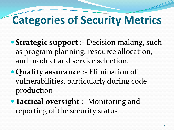### **Categories of Security Metrics**

- **Strategic support** :- Decision making, such as program planning, resource allocation, and product and service selection.
- **Quality assurance** :- Elimination of vulnerabilities, particularly during code production
- **Tactical oversight** :- Monitoring and reporting of the security status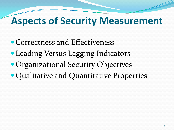#### **Aspects of Security Measurement**

- Correctness and Effectiveness
- Leading Versus Lagging Indicators
- Organizational Security Objectives
- Qualitative and Quantitative Properties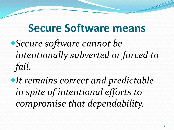#### **Secure Software means**

- *Secure software cannot be intentionally subverted or forced to fail.*
- **It remains correct and predictable** *in spite of intentional efforts to compromise that dependability.*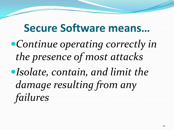#### **Secure Software means…**

*Continue operating correctly in the presence of most attacks Isolate, contain, and limit the damage resulting from any failures*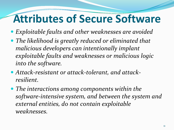### **Attributes of Secure Software**

- *Exploitable faults and other weaknesses are avoided*
- *The likelihood is greatly reduced or eliminated that malicious developers can intentionally implant exploitable faults and weaknesses or malicious logic into the software.*
- *Attack-resistant or attack-tolerant, and attackresilient.*
- *The interactions among components within the software-intensive system, and between the system and external entities, do not contain exploitable weaknesses.*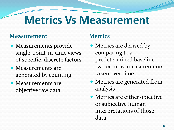#### **Metrics Vs Measurement**

#### **Measurement Metrics**

- Measurements provide single-point-in-time views of specific, discrete factors
- Measurements are generated by counting
- Measurements are objective raw data

- Metrics are derived by comparing to a predetermined baseline two or more measurements taken over time
- Metrics are generated from analysis
- Metrics are either objective or subjective human interpretations of those data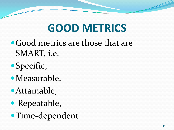### **GOOD METRICS**

- Good metrics are those that are SMART, i.e.
- Specific,
- Measurable,
- Attainable,
- Repeatable,
- Time-dependent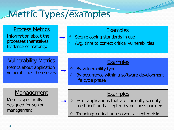#### Metric Types/examples

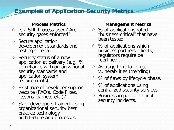#### **Examples of Application Security Metrics**

#### **Process Metrics**

- $\circ$  Is a SDL Process used? Are security gates enforced?
- $\circ$  Secure application development standards and testing criteria?
- $\circ$  Security status of a new application at delivery (e.g., % compliance with organizational security standards and application system requirements).
- $\triangle$  Existence of developer support website (FAQ's, Code Fixes, lessons learned, etc.)?
- $\triangle$  % of developers trained, using organizational security best practice technology, architecture and processes

#### **Management Metrics**

- $\triangle$  % of applications rated "business-critical" that have been tested.
- $\triangle$  % of applications which business partners, clients, regulators require be "certified".
- $\triangle$  Average time to correct vulnerabilities (trending).
- $\circ$  % of flaws by lifecycle phase.
- $\triangle$  % of applications using centralized security services.
- $\circ$  Business impact of critical security incidents.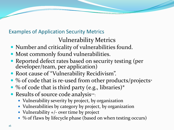#### Examples of Application Security Metrics

#### Vulnerability Metrics

- Number and criticality of vulnerabilities found.
- Most commonly found vulnerabilities.
- Reported defect rates based on security testing (per developer/team, per application)
- Root cause of "Vulnerability Recidivism".
- % of code that is re-used from other products/projects\*
- $\bullet$  % of code that is third party (e.g., libraries)\*
- Results of source code analysis\*\*:
	- Vulnerability severity by project, by organization
	- Vulnerabilities by category by project, by organization
	- Vulnerability +/- over time by project
	- % of flaws by lifecycle phase (based on when testing occurs)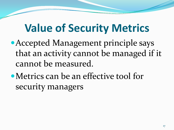#### **Value of Security Metrics**

- Accepted Management principle says that an activity cannot be managed if it cannot be measured.
- Metrics can be an effective tool for security managers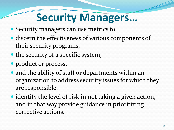### **Security Managers…**

- Security managers can use metrics to
- discern the effectiveness of various components of their security programs,
- the security of a specific system,
- product or process,
- and the ability of staff or departments within an organization to address security issues for which they are responsible.
- identify the level of risk in not taking a given action, and in that way provide guidance in prioritizing corrective actions.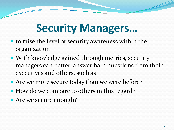#### **Security Managers…**

- to raise the level of security awareness within the organization
- With knowledge gained through metrics, security managers can better answer hard questions from their executives and others, such as:
- Are we more secure today than we were before?
- How do we compare to others in this regard?
- Are we secure enough?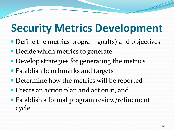### **Security Metrics Development**

- Define the metrics program goal(s) and objectives
- Decide which metrics to generate
- Develop strategies for generating the metrics
- Establish benchmarks and targets
- Determine how the metrics will be reported
- Create an action plan and act on it, and
- Establish a formal program review/refinement cycle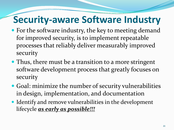#### **Security-aware Software Industry**

- For the software industry, the key to meeting demand for improved security, is to implement repeatable processes that reliably deliver measurably improved security
- Thus, there must be a transition to a more stringent software development process that greatly focuses on security
- Goal: minimize the number of security vulnerabilities in design, implementation, and documentation
- Identify and remove vulnerabilities in the development lifecycle *as early as possible!!!*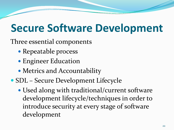#### **Secure Software Development**

Three essential components

- Repeatable process
- Engineer Education
- Metrics and Accountability
- SDL Secure Development Lifecycle
	- Used along with traditional/current software development lifecycle/techniques in order to introduce security at every stage of software development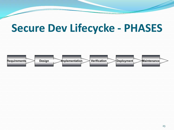#### **Secure Dev Lifecycke - PHASES**

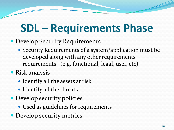### **SDL – Requirements Phase**

- Develop Security Requirements
	- Security Requirements of a system/application must be developed along with any other requirements requirements (e.g. functional, legal, user, etc)
- Risk analysis
	- Identify all the assets at risk
	- Identify all the threats
- Develop security policies
	- Used as guidelines for requirements
- Develop security metrics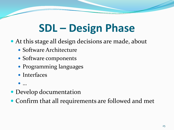### **SDL – Design Phase**

- At this stage all design decisions are made, about
	- Software Architecture
	- Software components
	- Programming languages
	- Interfaces
	- …
- Develop documentation
- Confirm that all requirements are followed and met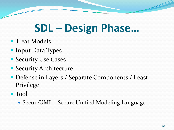### **SDL – Design Phase…**

- Treat Models
- Input Data Types
- Security Use Cases
- Security Architecture
- Defense in Layers / Separate Components / Least Privilege
- Tool
	- SecureUML Secure Unified Modeling Language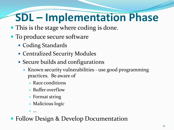## **SDL – Implementation Phase**

- This is the stage where coding is done.
- To produce secure software
	- Coding Standards
	- Centralized Security Modules
	- Secure builds and configurations
		- Known security vulnerabilities use good programming practices. Be aware of
			- Race conditions
			- Buffer overflow
			- Format string
			- Malicious logic

• Follow Design & Develop Documentation

…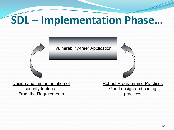### **SDL – Implementation Phase…**

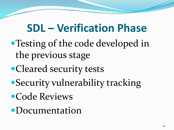#### **SDL – Verification Phase**

- Testing of the code developed in the previous stage
- Cleared security tests
- Security vulnerability tracking
- Code Reviews
- Documentation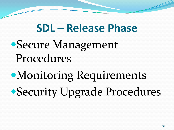#### **SDL – Release Phase**

### Secure Management Procedures

# Monitoring Requirements Security Upgrade Procedures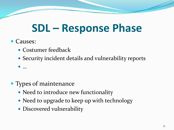#### **SDL – Response Phase**

• Causes:

…

- Costumer feedback
- Security incident details and vulnerability reports

- Types of maintenance
	- Need to introduce new functionality
	- Need to upgrade to keep up with technology
	- Discovered vulnerability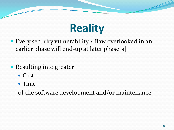### **Reality**

- Every security vulnerability / flaw overlooked in an earlier phase will end-up at later phase[s]
- Resulting into greater
	- Cost
	- Time

of the software development and/or maintenance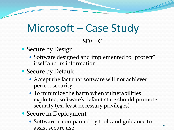### Microsoft – Case Study

#### **SD3 + C**

#### • Secure by Design

• Software designed and implemented to "protect" itself and its information

#### • Secure by Default

- Accept the fact that software will not achiever perfect security
- To minimize the harm when vulnerabilities exploited, software's default state should promote security (ex. least necessary privileges)
- Secure in Deployment
	- Software accompanied by tools and guidance to assist secure use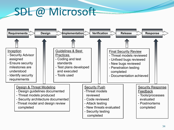#### SDL @ Microsoft

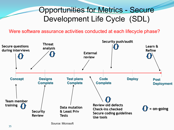#### Opportunities for Metrics - Secure Development Life Cycle (SDL)

Were software assurance activities conducted at each lifecycle phase?



Source: Microsoft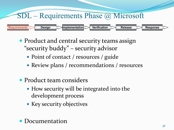### SDL – Requirements Phase @ Microsoft **Requirements Design Implementation Verification Release Response**

- Product and central security teams assign "security buddy" – security advisor
	- Point of contact / resources / guide
	- Review plans / recommendations / resources
- Product team considers
	- How security will be integrated into the development process
	- Key security objectives
- Documentation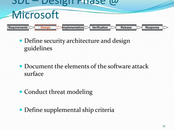

- Define security architecture and design guidelines
- Document the elements of the software attack surface
- Conduct threat modeling
- Define supplemental ship criteria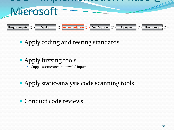

- Apply coding and testing standards
- Apply fuzzing tools
	- Supplies structured but invalid inputs
- Apply static-analysis code scanning tools
- Conduct code reviews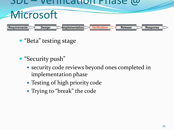#### SDL – Verification Phase @ **Microsoft Requirements Design Implementation**<br> **Verification**

- "Beta" testing stage
- "Security push"
	- security code reviews beyond ones completed in implementation phase
	- Testing of high priority code
	- Trying to "break" the code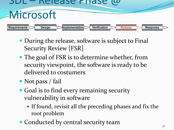#### SDL – Release Phase @ **Microsoft Requirements Design Implementation Verification Release Response**

- During the release, software is subject to Final Security Review [FSR]
- The goal of FSR is to determine whether, from security viewpoint, the software is ready to be delivered to costumers
- Not pass / fail
- Goal is to find every remaining security vulnerability in software
	- If found, revisit all the preceding phases and fix the root problem
- Conducted by central security team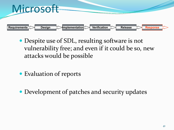

- Despite use of SDL, resulting software is not vulnerability free; and even if it could be so, new attacks would be possible
- Evaluation of reports
- Development of patches and security updates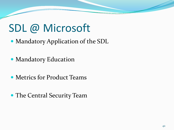#### SDL @ Microsoft

Mandatory Application of the SDL

- Mandatory Education
- Metrics for Product Teams
- The Central Security Team